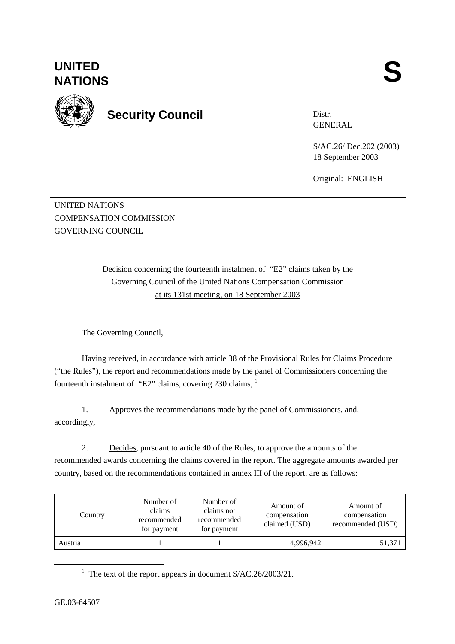**UNITED**  UNITED SANTIONS



**Security Council** 

Distr. GENERAL

S/AC.26/ Dec.202 (2003) 18 September 2003

Original: ENGLISH

UNITED NATIONS COMPENSATION COMMISSION GOVERNING COUNCIL

> Decision concerning the fourteenth instalment of "E2" claims taken by the Governing Council of the United Nations Compensation Commission at its 131st meeting, on 18 September 2003

The Governing Council,

Having received, in accordance with article 38 of the Provisional Rules for Claims Procedure ("the Rules"), the report and recommendations made by the panel of Commissioners concerning the fourteenth instalment of "E2" claims, covering 230 claims, <sup>1</sup>

1. Approves the recommendations made by the panel of Commissioners, and, accordingly,

2. Decides, pursuant to article 40 of the Rules, to approve the amounts of the recommended awards concerning the claims covered in the report. The aggregate amounts awarded per country, based on the recommendations contained in annex III of the report, are as follows:

| Country | Number of<br>claims<br>recommended<br>for payment | Number of<br>claims not<br>recommended<br>for payment | Amount of<br>compensation<br>claimed (USD) | Amount of<br>compensation<br>recommended (USD) |
|---------|---------------------------------------------------|-------------------------------------------------------|--------------------------------------------|------------------------------------------------|
| Austria |                                                   |                                                       | 4,996,942                                  | 51,37                                          |

<sup>&</sup>lt;u>1</u> <sup>1</sup> The text of the report appears in document  $S/AC.26/2003/21$ .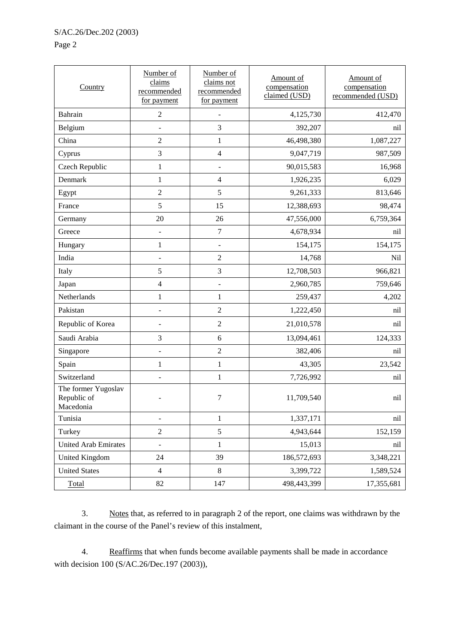## Page 2

| Country                                         | Number of<br>claims<br>recommended<br>for payment | Number of<br>claims not<br>recommended<br>for payment | Amount of<br>compensation<br>claimed (USD) | Amount of<br>compensation<br>recommended (USD) |
|-------------------------------------------------|---------------------------------------------------|-------------------------------------------------------|--------------------------------------------|------------------------------------------------|
| <b>Bahrain</b>                                  | $\sqrt{2}$                                        |                                                       | 4,125,730                                  | 412,470                                        |
| Belgium                                         | $\overline{\phantom{a}}$                          | 3                                                     | 392,207                                    | nil                                            |
| China                                           | $\overline{2}$                                    | $\mathbf{1}$                                          | 46,498,380                                 | 1,087,227                                      |
| Cyprus                                          | $\mathfrak{Z}$                                    | $\overline{4}$                                        | 9,047,719                                  | 987,509                                        |
| Czech Republic                                  | $\mathbf{1}$                                      | $\blacksquare$                                        | 90,015,583                                 | 16,968                                         |
| Denmark                                         | $\mathbf{1}$                                      | $\overline{4}$                                        | 1,926,235                                  | 6,029                                          |
| Egypt                                           | $\overline{2}$                                    | 5                                                     | 9,261,333                                  | 813,646                                        |
| France                                          | 5                                                 | 15                                                    | 12,388,693                                 | 98,474                                         |
| Germany                                         | 20                                                | 26                                                    | 47,556,000                                 | 6,759,364                                      |
| Greece                                          | $\overline{\phantom{0}}$                          | $\boldsymbol{7}$                                      | 4,678,934                                  | nil                                            |
| Hungary                                         | $\mathbf{1}$                                      | $\overline{\phantom{a}}$                              | 154,175                                    | 154,175                                        |
| India                                           | $\overline{a}$                                    | $\overline{2}$                                        | 14,768                                     | Nil                                            |
| Italy                                           | 5                                                 | $\overline{3}$                                        | 12,708,503                                 | 966,821                                        |
| Japan                                           | $\overline{4}$                                    | $\qquad \qquad \blacksquare$                          | 2,960,785                                  | 759,646                                        |
| Netherlands                                     | $\mathbf{1}$                                      | $\mathbf{1}$                                          | 259,437                                    | 4,202                                          |
| Pakistan                                        |                                                   | $\overline{2}$                                        | 1,222,450                                  | nil                                            |
| Republic of Korea                               | $\overline{a}$                                    | $\overline{2}$                                        | 21,010,578                                 | nil                                            |
| Saudi Arabia                                    | $\mathfrak{Z}$                                    | 6                                                     | 13,094,461                                 | 124,333                                        |
| Singapore                                       | $\overline{\phantom{0}}$                          | $\overline{2}$                                        | 382,406                                    | nil                                            |
| Spain                                           | $\mathbf{1}$                                      | $\mathbf{1}$                                          | 43,305                                     | 23,542                                         |
| Switzerland                                     | $\overline{a}$                                    | $\mathbf{1}$                                          | 7,726,992                                  | nil                                            |
| The former Yugoslav<br>Republic of<br>Macedonia |                                                   | 7                                                     | 11,709,540                                 | nil                                            |
| Tunisia                                         | $\qquad \qquad \blacksquare$                      | $\mathbf{1}$                                          | 1,337,171                                  | nil                                            |
| Turkey                                          | $\boldsymbol{2}$                                  | 5                                                     | 4,943,644                                  | 152,159                                        |
| <b>United Arab Emirates</b>                     | L,                                                | $\,1$                                                 | 15,013                                     | nil                                            |
| <b>United Kingdom</b>                           | 24                                                | 39                                                    | 186,572,693                                | 3,348,221                                      |
| <b>United States</b>                            | $\overline{4}$                                    | 8                                                     | 3,399,722                                  | 1,589,524                                      |
| Total                                           | 82                                                | 147                                                   | 498,443,399                                | 17,355,681                                     |

3. Notes that, as referred to in paragraph 2 of the report, one claims was withdrawn by the claimant in the course of the Panel's review of this instalment,

4. Reaffirms that when funds become available payments shall be made in accordance with decision 100 (S/AC.26/Dec.197 (2003)),